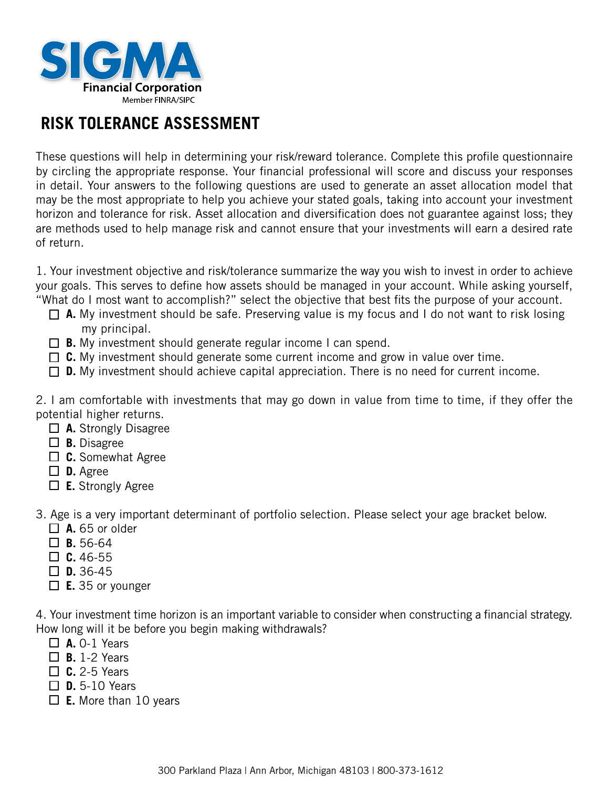

# **RISK TOLERANCE ASSESSMENT**

These questions will help in determining your risk/reward tolerance. Complete this profile questionnaire by circling the appropriate response. Your financial professional will score and discuss your responses in detail. Your answers to the following questions are used to generate an asset allocation model that may be the most appropriate to help you achieve your stated goals, taking into account your investment horizon and tolerance for risk. Asset allocation and diversification does not guarantee against loss; they are methods used to help manage risk and cannot ensure that your investments will earn a desired rate of return.

1. Your investment objective and risk/tolerance summarize the way you wish to invest in order to achieve your goals. This serves to define how assets should be managed in your account. While asking yourself, "What do I most want to accomplish?" select the objective that best fits the purpose of your account.

- □ A. My investment should be safe. Preserving value is my focus and I do not want to risk losing my principal.
- **B.** My investment should generate regular income I can spend.
- □ C. My investment should generate some current income and grow in value over time.
- □ **D.** My investment should achieve capital appreciation. There is no need for current income.

2. I am comfortable with investments that may go down in value from time to time, if they offer the potential higher returns.

- **A.** Strongly Disagree
- **B.** Disagree
- **C.** Somewhat Agree
- **D.** Agree
- **E.** Strongly Agree

3. Age is a very important determinant of portfolio selection. Please select your age bracket below.

- $\Box$  **A.** 65 or older
- $\Pi$  **B.** 56-64
- $\Box$  **C.** 46-55
- $\Box$  **D.** 36-45
- **E.** 35 or younger

4. Your investment time horizon is an important variable to consider when constructing a financial strategy. How long will it be before you begin making withdrawals?

- $\Box$  **A.** 0-1 Years
- **B.** 1-2 Years
- $\Box$  **C.** 2-5 Years
- $\Box$  **D.** 5-10 Years
- **E.** More than 10 years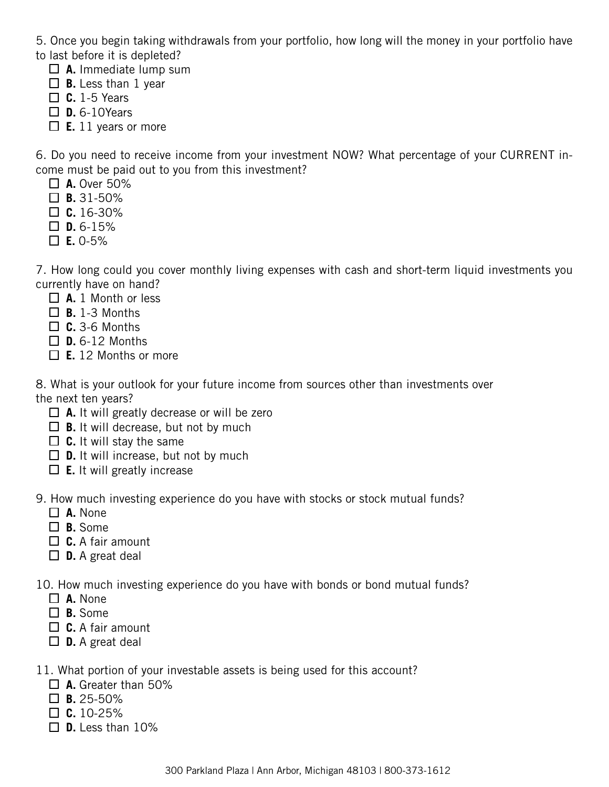5. Once you begin taking withdrawals from your portfolio, how long will the money in your portfolio have to last before it is depleted?

- $\Box$  **A.** Immediate lump sum
- $\Box$  **B.** Less than 1 year
- $\Box$  **C.** 1-5 Years
- **D.** 6-10Years
- $\Box$  **E.** 11 years or more

6. Do you need to receive income from your investment NOW? What percentage of your CURRENT income must be paid out to you from this investment?

- $\Box$  **A.** Over 50%
- $\Box$  **B.** 31-50%
- $\Box$  **C.** 16-30%
- $\Box$  **D.** 6-15%
- $\Box$  **E.** 0-5%

7. How long could you cover monthly living expenses with cash and short-term liquid investments you currently have on hand?

- **A.** 1 Month or less
- $\Box$  **B.** 1-3 Months
- **C.** 3-6 Months
- $\Box$  **D.** 6-12 Months
- **E.** 12 Months or more

8. What is your outlook for your future income from sources other than investments over the next ten years?

- **A.** It will greatly decrease or will be zero
- $\Box$  **B.** It will decrease, but not by much
- $\Box$  **C.** It will stay the same
- $\Box$  **D.** It will increase, but not by much
- **E.** It will greatly increase

9. How much investing experience do you have with stocks or stock mutual funds?

- **A.** None
- **B.** Some
- **C.** A fair amount
- **D.** A great deal

10. How much investing experience do you have with bonds or bond mutual funds?

- **A.** None
- **B.** Some
- □ **C.** A fair amount
- **D.** A great deal

11. What portion of your investable assets is being used for this account?

- **A.** Greater than 50%
- $\Box$  **B.** 25-50%
- $\Box$  **C.** 10-25%
- $\Box$  **D.** Less than 10%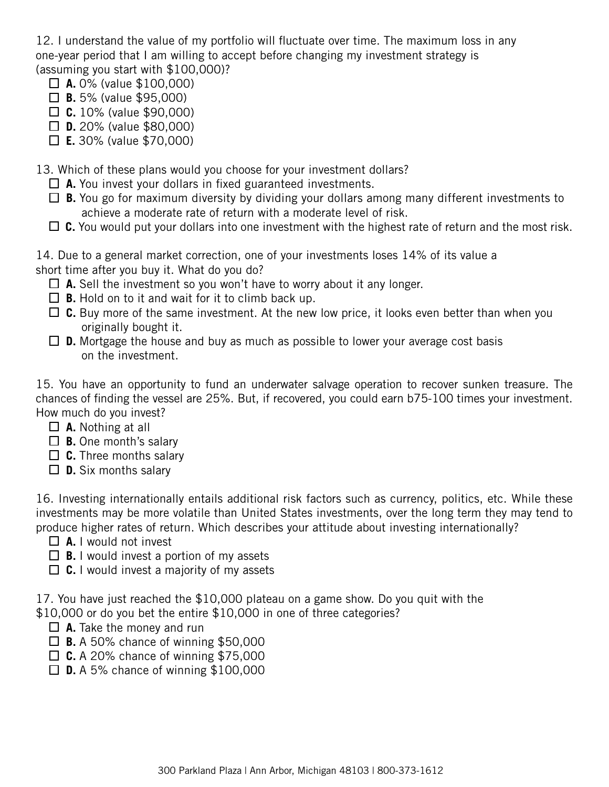12. I understand the value of my portfolio will fluctuate over time. The maximum loss in any one-year period that I am willing to accept before changing my investment strategy is (assuming you start with \$100,000)?

- **A.** 0% (value \$100,000)
- **B.** 5% (value \$95,000)
- **C.** 10% (value \$90,000)
- **D.** 20% (value \$80,000)
- **E.** 30% (value \$70,000)

13. Which of these plans would you choose for your investment dollars?

- **A.** You invest your dollars in fixed guaranteed investments.
- **B.** You go for maximum diversity by dividing your dollars among many different investments to achieve a moderate rate of return with a moderate level of risk.
- $\Box$  C. You would put your dollars into one investment with the highest rate of return and the most risk.

14. Due to a general market correction, one of your investments loses 14% of its value a short time after you buy it. What do you do?

- $\Box$  **A.** Sell the investment so you won't have to worry about it any longer.
- $\Box$  **B.** Hold on to it and wait for it to climb back up.
- □ C. Buy more of the same investment. At the new low price, it looks even better than when you originally bought it.
- **D.** Mortgage the house and buy as much as possible to lower your average cost basis on the investment.

15. You have an opportunity to fund an underwater salvage operation to recover sunken treasure. The chances of finding the vessel are 25%. But, if recovered, you could earn b75-100 times your investment. How much do you invest?

- **A.** Nothing at all
- **B.** One month's salary
- □ **C.** Three months salary
- **D.** Six months salary

16. Investing internationally entails additional risk factors such as currency, politics, etc. While these investments may be more volatile than United States investments, over the long term they may tend to produce higher rates of return. Which describes your attitude about investing internationally?

- **A.** I would not invest
- $\Box$  **B.** I would invest a portion of my assets
- □ **C.** I would invest a majority of my assets

17. You have just reached the \$10,000 plateau on a game show. Do you quit with the \$10,000 or do you bet the entire \$10,000 in one of three categories?

- **A.** Take the money and run
- **B.** A 50% chance of winning \$50,000
- **C.** A 20% chance of winning \$75,000
- **D.** A 5% chance of winning \$100,000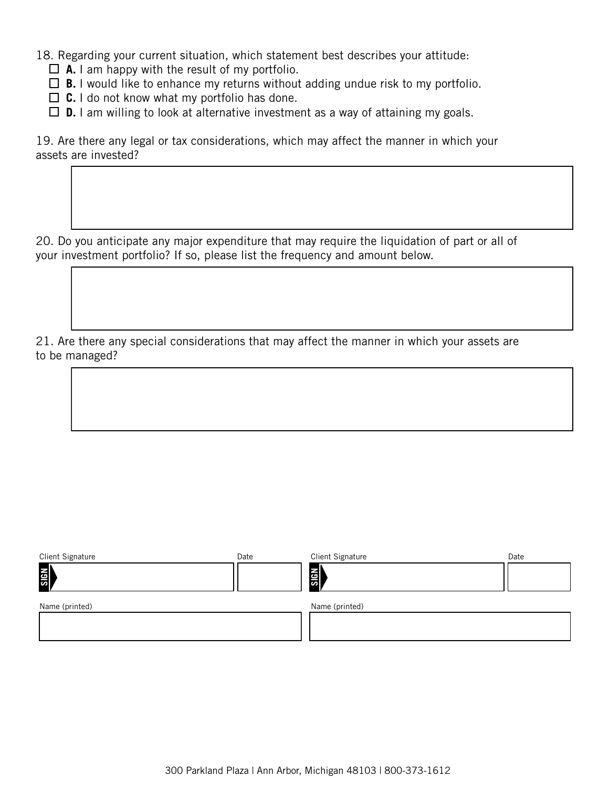18. Regarding your current situation, which statement best describes your attitude:

 $\Box$  **A.** I am happy with the result of my portfolio.

 $\Box$  **B.** I would like to enhance my returns without adding undue risk to my portfolio.

□ **C.** I do not know what my portfolio has done.

 $\Box$  **D.** I am willing to look at alternative investment as a way of attaining my goals.

19. Are there any legal or tax considerations, which may affect the manner in which your assets are invested?

20. Do you anticipate any major expenditure that may require the liquidation of part or all of your investment portfolio? If so, please list the frequency and amount below.

21. Are there any special considerations that may affect the manner in which your assets are to be managed?

| <b>Client Signature</b> | Date | <b>Client Signature</b> | Date |
|-------------------------|------|-------------------------|------|
| <b>SIGN</b>             |      | <b>Rails</b>            |      |
| Name (printed)          |      | Name (printed)          |      |
|                         |      |                         |      |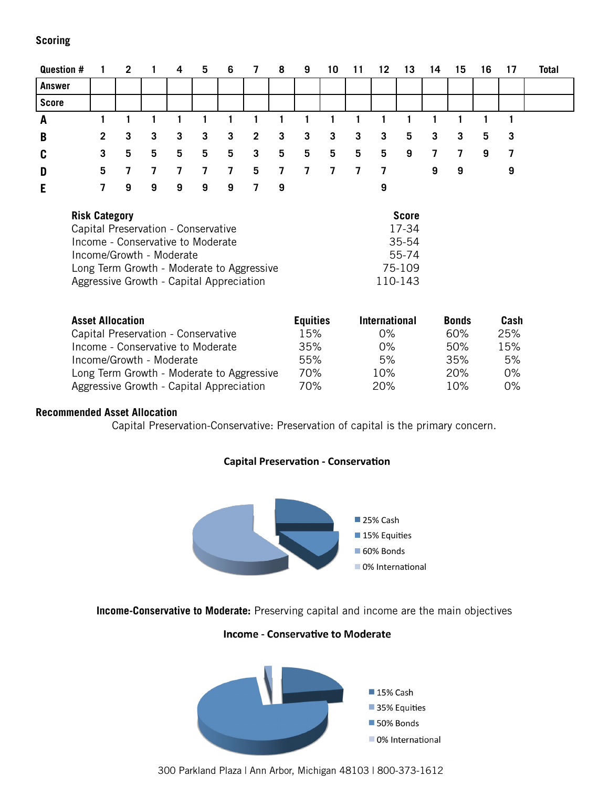## **Scoring**

| Question #    | $\blacksquare$ 1 | 2 1            |   | 4              | 5  | 6            | 7              | 8              | 9   | 10 | $-11$          | 12 13          |   | - 14 | 15 | 16 | 17 | <b>Total</b> |
|---------------|------------------|----------------|---|----------------|----|--------------|----------------|----------------|-----|----|----------------|----------------|---|------|----|----|----|--------------|
| <b>Answer</b> |                  |                |   |                |    |              |                |                |     |    |                |                |   |      |    |    |    |              |
| <b>Score</b>  |                  |                |   |                |    |              |                |                |     |    |                |                |   |      |    |    |    |              |
| A             |                  |                |   |                |    |              |                |                |     |    |                |                |   |      |    |    |    |              |
| B             | $\mathbf{2}$     | 3              | 3 | 3              | -3 | 3            | $\overline{2}$ | 3              | 3   | 3  | 3              | 3              | 5 | 3    | 3  | 5  | -3 |              |
| C             | 3                | 5              | 5 | 5              | 5  | 5            | 3              | 5              | 5   | 5  | 5              | 5              | 9 | 7    | 7  | 9  | -7 |              |
| D             | 5.               | $\overline{7}$ | 7 | $\overline{7}$ | 7  | $\mathbf{7}$ | 5              | $\overline{7}$ | 7 7 |    | $\overline{7}$ | $\overline{ }$ |   | 9    | 9  |    | 9  |              |
| E             | 7                | 9              | 9 | 9              | 9  | 9            | 7              | -9             |     |    |                | 9              |   |      |    |    |    |              |
|               |                  |                |   |                |    |              |                |                |     |    |                |                |   |      |    |    |    |              |

| <b>Risk Category</b>                      | <b>Score</b> |
|-------------------------------------------|--------------|
| Capital Preservation - Conservative       | 17-34        |
| Income - Conservative to Moderate         | 35-54        |
| Income/Growth - Moderate                  | 55-74        |
| Long Term Growth - Moderate to Aggressive | 75-109       |
| Aggressive Growth - Capital Appreciation  | 110-143      |

| <b>Asset Allocation</b>                   | <b>Equities</b> | <b>International</b> | <b>Bonds</b> | Cash  |
|-------------------------------------------|-----------------|----------------------|--------------|-------|
| Capital Preservation - Conservative       | 15%             | $0\%$                | 60%          | 25%   |
| Income - Conservative to Moderate         | 35%             | $0\%$                | 50%          | 15%   |
| Income/Growth - Moderate                  | 55%             | 5%                   | 35%          | 5%    |
| Long Term Growth - Moderate to Aggressive | 70%             | 10%                  | 20%          | $0\%$ |
| Aggressive Growth - Capital Appreciation  | 70%             | 20%                  | 10%          | $0\%$ |

#### **Recommended Asset Allocation**

Capital Preservation-Conservative: Preservation of capital is the primary concern.



## **Capital Preservation - Conservation**

**Income-Conservative to Moderate:** Preserving capital and income are the main objectives

#### **Income - Conservative to Moderate**



300 Parkland Plaza | Ann Arbor, Michigan 48103 | 800-373-1612